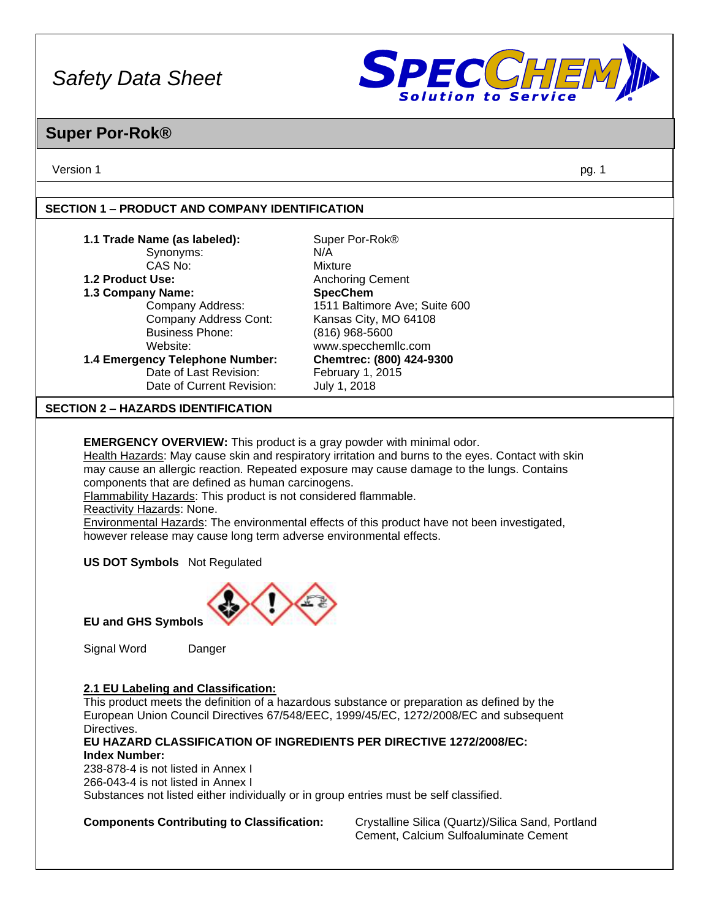

### **Super Por-Rok®**

Version 1 pg. 1

#### **SECTION 1 – PRODUCT AND COMPANY IDENTIFICATION**

| 1.1 Trade Name (as labeled):              | Super Por-Rok <sup>®</sup>    |
|-------------------------------------------|-------------------------------|
|                                           |                               |
| Synonyms:                                 | N/A                           |
| CAS No:                                   | Mixture                       |
| 1.2 Product Use:                          | <b>Anchoring Cement</b>       |
| 1.3 Company Name:                         | <b>SpecChem</b>               |
| Company Address:                          | 1511 Baltimore Ave; Suite 600 |
| Company Address Cont:                     | Kansas City, MO 64108         |
| <b>Business Phone:</b>                    | (816) 968-5600                |
| Website:                                  | www.specchemllc.com           |
| 1.4 Emergency Telephone Number:           | Chemtrec: (800) 424-9300      |
| Date of Last Revision:                    | February 1, 2015              |
| Date of Current Revision:                 | July 1, 2018                  |
| <b>SECTION 2 - HAZARDS IDENTIFICATION</b> |                               |

**EMERGENCY OVERVIEW:** This product is a gray powder with minimal odor.

Health Hazards: May cause skin and respiratory irritation and burns to the eyes. Contact with skin may cause an allergic reaction. Repeated exposure may cause damage to the lungs. Contains components that are defined as human carcinogens.

Flammability Hazards: This product is not considered flammable.

Reactivity Hazards: None.

Environmental Hazards: The environmental effects of this product have not been investigated, however release may cause long term adverse environmental effects.

**US DOT Symbols** Not Regulated



**EU and GHS Symbols**

Signal Word Danger

#### **2.1 EU Labeling and Classification:**

This product meets the definition of a hazardous substance or preparation as defined by the European Union Council Directives 67/548/EEC, 1999/45/EC, 1272/2008/EC and subsequent Directives.

#### **EU HAZARD CLASSIFICATION OF INGREDIENTS PER DIRECTIVE 1272/2008/EC: Index Number:**

238-878-4 is not listed in Annex I 266-043-4 is not listed in Annex I Substances not listed either individually or in group entries must be self classified.

**Components Contributing to Classification:** Crystalline Silica (Quartz)/Silica Sand, Portland Cement, Calcium Sulfoaluminate Cement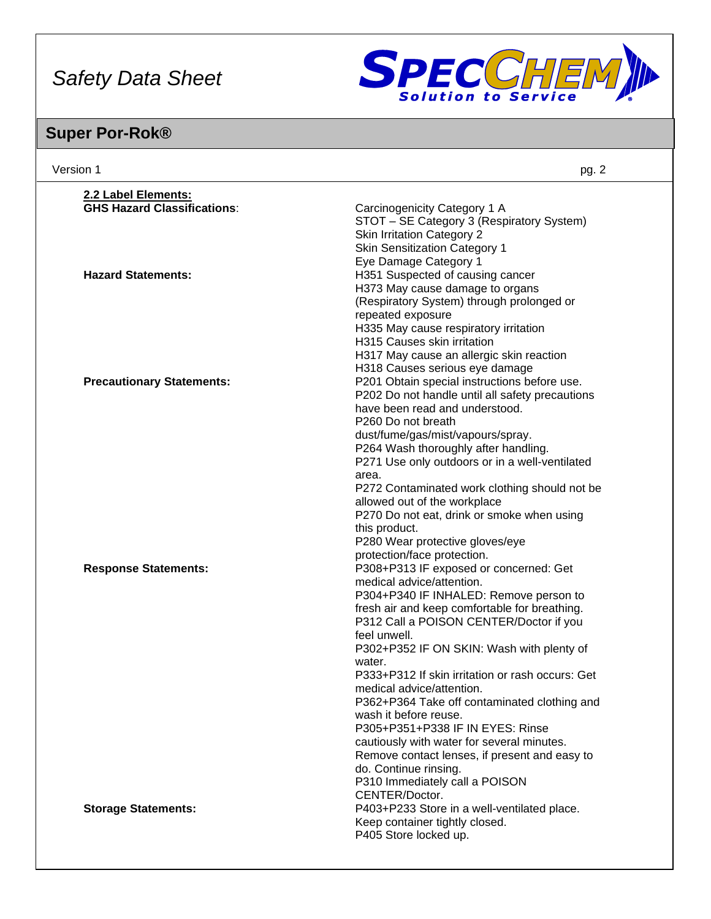

| Version 1                          | pg. 2                                                                             |
|------------------------------------|-----------------------------------------------------------------------------------|
| 2.2 Label Elements:                |                                                                                   |
| <b>GHS Hazard Classifications:</b> | Carcinogenicity Category 1 A<br>STOT - SE Category 3 (Respiratory System)         |
|                                    | <b>Skin Irritation Category 2</b>                                                 |
|                                    | <b>Skin Sensitization Category 1</b>                                              |
| <b>Hazard Statements:</b>          | Eye Damage Category 1<br>H351 Suspected of causing cancer                         |
|                                    | H373 May cause damage to organs                                                   |
|                                    | (Respiratory System) through prolonged or                                         |
|                                    | repeated exposure                                                                 |
|                                    | H335 May cause respiratory irritation                                             |
|                                    | H315 Causes skin irritation                                                       |
|                                    | H317 May cause an allergic skin reaction                                          |
|                                    | H318 Causes serious eye damage                                                    |
| <b>Precautionary Statements:</b>   | P201 Obtain special instructions before use.                                      |
|                                    | P202 Do not handle until all safety precautions<br>have been read and understood. |
|                                    | P260 Do not breath                                                                |
|                                    | dust/fume/gas/mist/vapours/spray.                                                 |
|                                    | P264 Wash thoroughly after handling.                                              |
|                                    | P271 Use only outdoors or in a well-ventilated                                    |
|                                    | area.                                                                             |
|                                    | P272 Contaminated work clothing should not be                                     |
|                                    | allowed out of the workplace                                                      |
|                                    | P270 Do not eat, drink or smoke when using<br>this product.                       |
|                                    | P280 Wear protective gloves/eye                                                   |
|                                    | protection/face protection.                                                       |
| <b>Response Statements:</b>        | P308+P313 IF exposed or concerned: Get                                            |
|                                    | medical advice/attention.                                                         |
|                                    | P304+P340 IF INHALED: Remove person to                                            |
|                                    | fresh air and keep comfortable for breathing.                                     |
|                                    | P312 Call a POISON CENTER/Doctor if you<br>feel unwell.                           |
|                                    | P302+P352 IF ON SKIN: Wash with plenty of                                         |
|                                    | water.                                                                            |
|                                    | P333+P312 If skin irritation or rash occurs: Get                                  |
|                                    | medical advice/attention.                                                         |
|                                    | P362+P364 Take off contaminated clothing and                                      |
|                                    | wash it before reuse.<br>P305+P351+P338 IF IN EYES: Rinse                         |
|                                    | cautiously with water for several minutes.                                        |
|                                    | Remove contact lenses, if present and easy to                                     |
|                                    | do. Continue rinsing.                                                             |
|                                    | P310 Immediately call a POISON                                                    |
|                                    | CENTER/Doctor.                                                                    |
| <b>Storage Statements:</b>         | P403+P233 Store in a well-ventilated place.                                       |
|                                    | Keep container tightly closed.                                                    |
|                                    | P405 Store locked up.                                                             |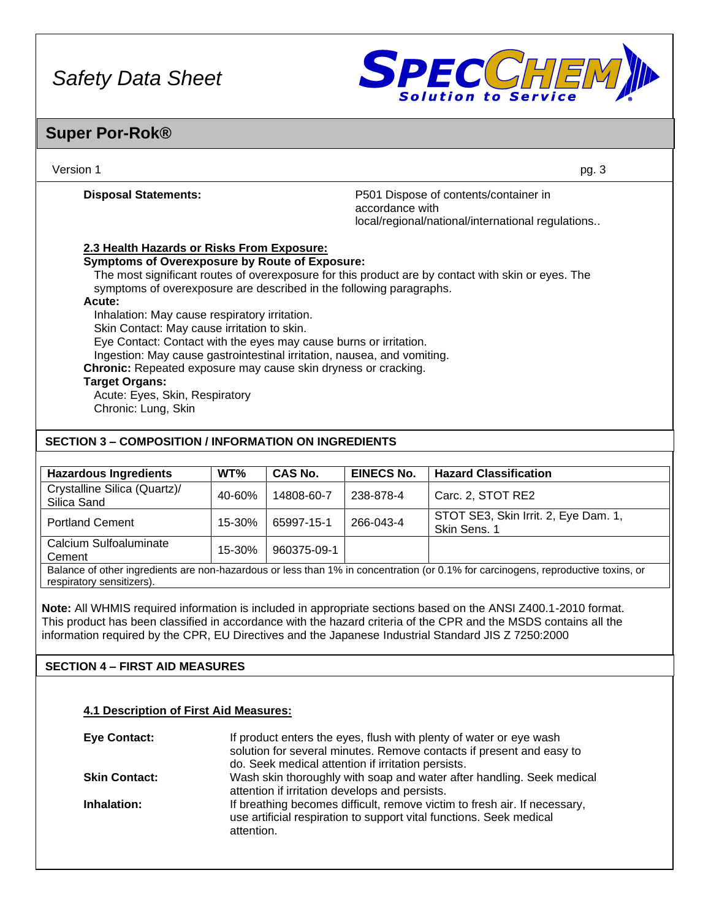

### **Super Por-Rok®**

| Version 1                                                                                                                                                                                                                                                                                                                                                                                                                                                                                                                                                                                | pg. 3                                                                                                         |
|------------------------------------------------------------------------------------------------------------------------------------------------------------------------------------------------------------------------------------------------------------------------------------------------------------------------------------------------------------------------------------------------------------------------------------------------------------------------------------------------------------------------------------------------------------------------------------------|---------------------------------------------------------------------------------------------------------------|
| <b>Disposal Statements:</b>                                                                                                                                                                                                                                                                                                                                                                                                                                                                                                                                                              | P501 Dispose of contents/container in<br>accordance with<br>local/regional/national/international regulations |
| 2.3 Health Hazards or Risks From Exposure:<br><b>Symptoms of Overexposure by Route of Exposure:</b><br>symptoms of overexposure are described in the following paragraphs.<br>Acute:<br>Inhalation: May cause respiratory irritation.<br>Skin Contact: May cause irritation to skin.<br>Eye Contact: Contact with the eyes may cause burns or irritation.<br>Ingestion: May cause gastrointestinal irritation, nausea, and vomiting.<br>Chronic: Repeated exposure may cause skin dryness or cracking.<br><b>Target Organs:</b><br>Acute: Eyes, Skin, Respiratory<br>Chronic: Lung, Skin | The most significant routes of overexposure for this product are by contact with skin or eyes. The            |
| <b>SECTION 3 – COMPOSITION / INFORMATION ON INGREDIENTS</b>                                                                                                                                                                                                                                                                                                                                                                                                                                                                                                                              |                                                                                                               |

| <b>Hazardous Ingredients</b>                                                                                                                                   | WT%    | CAS No.     | <b>EINECS No.</b> | <b>Hazard Classification</b>                         |
|----------------------------------------------------------------------------------------------------------------------------------------------------------------|--------|-------------|-------------------|------------------------------------------------------|
| Crystalline Silica (Quartz)/<br>Silica Sand                                                                                                                    | 40-60% | 14808-60-7  | 238-878-4         | Carc. 2, STOT RE2                                    |
| <b>Portland Cement</b>                                                                                                                                         | 15-30% | 65997-15-1  | 266-043-4         | STOT SE3, Skin Irrit. 2, Eye Dam. 1,<br>Skin Sens. 1 |
| Calcium Sulfoaluminate<br>Cement                                                                                                                               | 15-30% | 960375-09-1 |                   |                                                      |
| Balance of other ingredients are non-hazardous or less than 1% in concentration (or 0.1% for carcinogens, reproductive toxins, or<br>respiratory sensitizers). |        |             |                   |                                                      |

**Note:** All WHMIS required information is included in appropriate sections based on the ANSI Z400.1-2010 format. This product has been classified in accordance with the hazard criteria of the CPR and the MSDS contains all the information required by the CPR, EU Directives and the Japanese Industrial Standard JIS Z 7250:2000

### **SECTION 4 – FIRST AID MEASURES**

#### **4.1 Description of First Aid Measures:**

| <b>Eye Contact:</b>  | If product enters the eyes, flush with plenty of water or eye wash<br>solution for several minutes. Remove contacts if present and easy to<br>do. Seek medical attention if irritation persists. |
|----------------------|--------------------------------------------------------------------------------------------------------------------------------------------------------------------------------------------------|
| <b>Skin Contact:</b> | Wash skin thoroughly with soap and water after handling. Seek medical<br>attention if irritation develops and persists.                                                                          |
| Inhalation:          | If breathing becomes difficult, remove victim to fresh air. If necessary,<br>use artificial respiration to support vital functions. Seek medical<br>attention.                                   |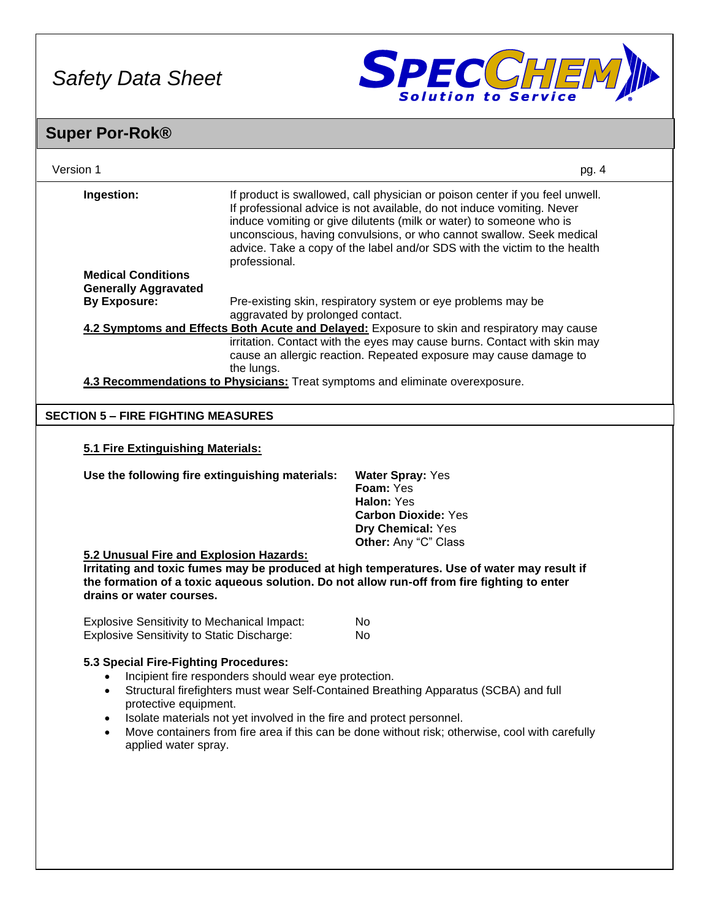

| Version 1                                                                                                        |                                                       | pg. 4                                                                                                                                                                                                                                                                                                                                                                              |  |
|------------------------------------------------------------------------------------------------------------------|-------------------------------------------------------|------------------------------------------------------------------------------------------------------------------------------------------------------------------------------------------------------------------------------------------------------------------------------------------------------------------------------------------------------------------------------------|--|
| Ingestion:                                                                                                       | professional.                                         | If product is swallowed, call physician or poison center if you feel unwell.<br>If professional advice is not available, do not induce vomiting. Never<br>induce vomiting or give dilutents (milk or water) to someone who is<br>unconscious, having convulsions, or who cannot swallow. Seek medical<br>advice. Take a copy of the label and/or SDS with the victim to the health |  |
| <b>Medical Conditions</b>                                                                                        |                                                       |                                                                                                                                                                                                                                                                                                                                                                                    |  |
| <b>Generally Aggravated</b><br><b>By Exposure:</b>                                                               |                                                       | Pre-existing skin, respiratory system or eye problems may be                                                                                                                                                                                                                                                                                                                       |  |
|                                                                                                                  | aggravated by prolonged contact.                      |                                                                                                                                                                                                                                                                                                                                                                                    |  |
|                                                                                                                  | the lungs.                                            | 4.2 Symptoms and Effects Both Acute and Delayed: Exposure to skin and respiratory may cause<br>irritation. Contact with the eyes may cause burns. Contact with skin may<br>cause an allergic reaction. Repeated exposure may cause damage to<br>4.3 Recommendations to Physicians: Treat symptoms and eliminate overexposure.                                                      |  |
| <b>SECTION 5 - FIRE FIGHTING MEASURES</b>                                                                        |                                                       |                                                                                                                                                                                                                                                                                                                                                                                    |  |
|                                                                                                                  |                                                       |                                                                                                                                                                                                                                                                                                                                                                                    |  |
| 5.1 Fire Extinguishing Materials:                                                                                |                                                       |                                                                                                                                                                                                                                                                                                                                                                                    |  |
| Use the following fire extinguishing materials:                                                                  |                                                       | <b>Water Spray: Yes</b><br>Foam: Yes<br>Halon: Yes<br><b>Carbon Dioxide: Yes</b><br>Dry Chemical: Yes<br>Other: Any "C" Class                                                                                                                                                                                                                                                      |  |
| 5.2 Unusual Fire and Explosion Hazards:                                                                          |                                                       |                                                                                                                                                                                                                                                                                                                                                                                    |  |
| drains or water courses.                                                                                         |                                                       | Irritating and toxic fumes may be produced at high temperatures. Use of water may result if<br>the formation of a toxic aqueous solution. Do not allow run-off from fire fighting to enter                                                                                                                                                                                         |  |
| <b>Explosive Sensitivity to Mechanical Impact:</b>                                                               |                                                       | No.                                                                                                                                                                                                                                                                                                                                                                                |  |
| Explosive Sensitivity to Static Discharge:                                                                       |                                                       | No.                                                                                                                                                                                                                                                                                                                                                                                |  |
| 5.3 Special Fire-Fighting Procedures:<br>protective equipment.<br>$\bullet$<br>$\bullet$<br>applied water spray. | Incipient fire responders should wear eye protection. | Structural firefighters must wear Self-Contained Breathing Apparatus (SCBA) and full<br>Isolate materials not yet involved in the fire and protect personnel.<br>Move containers from fire area if this can be done without risk; otherwise, cool with carefully                                                                                                                   |  |
|                                                                                                                  |                                                       |                                                                                                                                                                                                                                                                                                                                                                                    |  |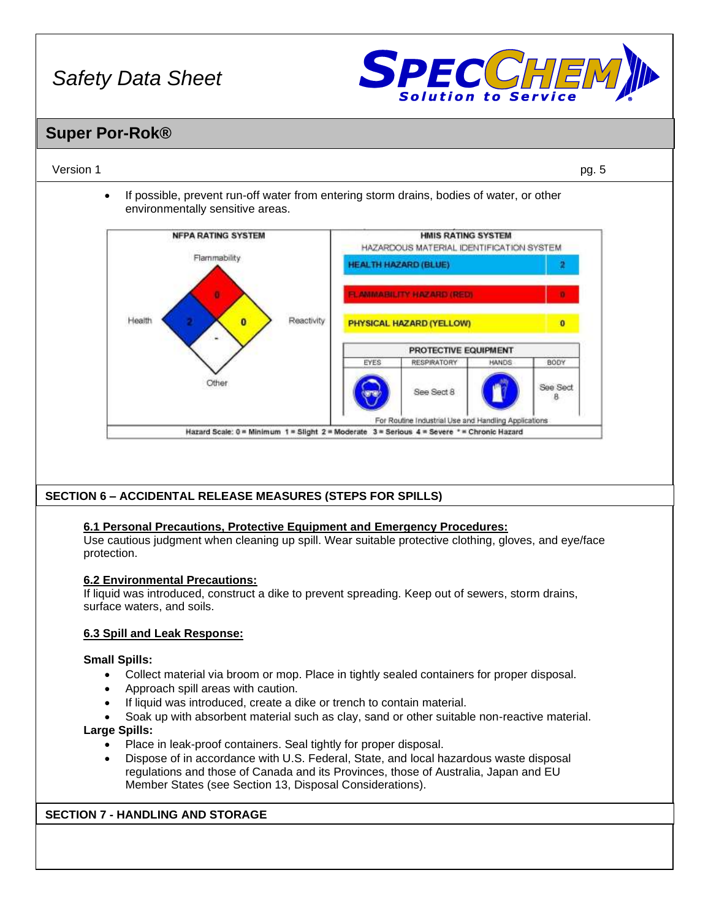

### **Super Por-Rok®**

#### Version 1 pg. 5

• If possible, prevent run-off water from entering storm drains, bodies of water, or other environmentally sensitive areas.



#### **SECTION 6 – ACCIDENTAL RELEASE MEASURES (STEPS FOR SPILLS)**

#### **6.1 Personal Precautions, Protective Equipment and Emergency Procedures:**

Use cautious judgment when cleaning up spill. Wear suitable protective clothing, gloves, and eye/face protection.

#### **6.2 Environmental Precautions:**

If liquid was introduced, construct a dike to prevent spreading. Keep out of sewers, storm drains, surface waters, and soils.

#### **6.3 Spill and Leak Response:**

#### **Small Spills:**

- Collect material via broom or mop. Place in tightly sealed containers for proper disposal.
- Approach spill areas with caution.
- If liquid was introduced, create a dike or trench to contain material.
- Soak up with absorbent material such as clay, sand or other suitable non-reactive material.

#### **Large Spills:**

- Place in leak-proof containers. Seal tightly for proper disposal.
- Dispose of in accordance with U.S. Federal, State, and local hazardous waste disposal regulations and those of Canada and its Provinces, those of Australia, Japan and EU Member States (see Section 13, Disposal Considerations).

#### **SECTION 7 - HANDLING AND STORAGE**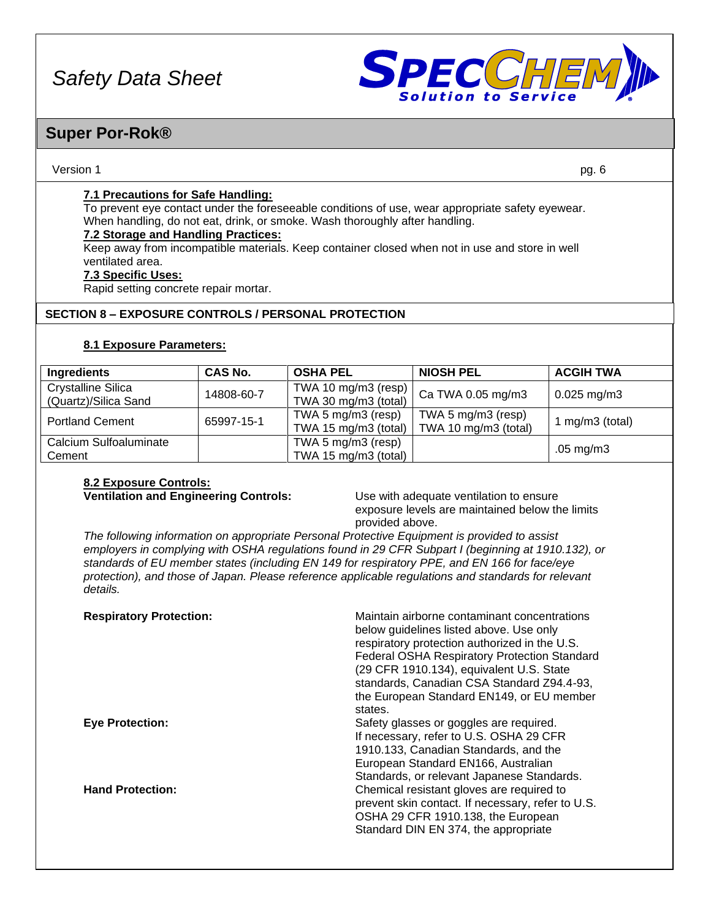

### **Super Por-Rok®**

#### Version 1 pg. 6

#### **7.1 Precautions for Safe Handling:**

To prevent eye contact under the foreseeable conditions of use, wear appropriate safety eyewear. When handling, do not eat, drink, or smoke. Wash thoroughly after handling.

#### **7.2 Storage and Handling Practices:**

Keep away from incompatible materials. Keep container closed when not in use and store in well ventilated area.

#### **7.3 Specific Uses:**

Rapid setting concrete repair mortar.

#### **SECTION 8 – EXPOSURE CONTROLS / PERSONAL PROTECTION**

#### **8.1 Exposure Parameters:**

| Ingredients                                       | <b>CAS No.</b> | <b>OSHA PEL</b>                             | <b>NIOSH PEL</b>                           | <b>ACGIH TWA</b>     |
|---------------------------------------------------|----------------|---------------------------------------------|--------------------------------------------|----------------------|
| <b>Crystalline Silica</b><br>(Quartz)/Silica Sand | 14808-60-7     | TWA 10 mg/m3 (resp)<br>TWA 30 mg/m3 (total) | Ca TWA 0.05 mg/m3                          | $0.025$ mg/m3        |
| <b>Portland Cement</b>                            | 65997-15-1     | TWA 5 mg/m3 (resp)<br>TWA 15 mg/m3 (total)  | TWA 5 mg/m3 (resp)<br>TWA 10 mg/m3 (total) | 1 mg/m $3$ (total)   |
| Calcium Sulfoaluminate<br>Cement                  |                | TWA 5 mg/m3 (resp)<br>TWA 15 mg/m3 (total)  |                                            | $.05 \text{ mg/m}$ 3 |

## **8.2 Exposure Controls:**

**Ventilation and Engineering Controls:** Use with adequate ventilation to ensure exposure levels are maintained below the limits provided above.

*The following information on appropriate Personal Protective Equipment is provided to assist employers in complying with OSHA regulations found in 29 CFR Subpart I (beginning at 1910.132), or standards of EU member states (including EN 149 for respiratory PPE, and EN 166 for face/eye protection), and those of Japan. Please reference applicable regulations and standards for relevant details.*

| <b>Respiratory Protection:</b> | Maintain airborne contaminant concentrations<br>below guidelines listed above. Use only<br>respiratory protection authorized in the U.S.<br><b>Federal OSHA Respiratory Protection Standard</b><br>(29 CFR 1910.134), equivalent U.S. State<br>standards, Canadian CSA Standard Z94.4-93,<br>the European Standard EN149, or EU member<br>states. |
|--------------------------------|---------------------------------------------------------------------------------------------------------------------------------------------------------------------------------------------------------------------------------------------------------------------------------------------------------------------------------------------------|
| <b>Eye Protection:</b>         | Safety glasses or goggles are required.<br>If necessary, refer to U.S. OSHA 29 CFR<br>1910.133, Canadian Standards, and the<br>European Standard EN166, Australian<br>Standards, or relevant Japanese Standards.                                                                                                                                  |
| <b>Hand Protection:</b>        | Chemical resistant gloves are required to<br>prevent skin contact. If necessary, refer to U.S.<br>OSHA 29 CFR 1910.138, the European<br>Standard DIN EN 374, the appropriate                                                                                                                                                                      |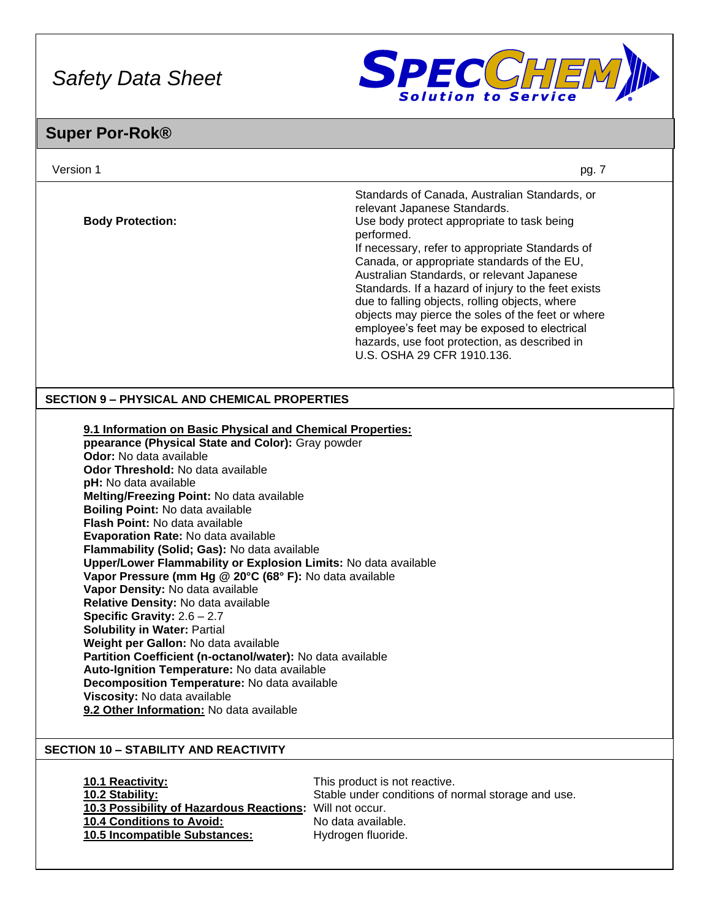

| Version 1                                                                                                                                                                                                                                                                                                                                                                                                                                                                                                                                                                                                                                                                                                                                                                                                                                                                                                                                                                                           | pg. 7                                                                                                                                                                                                                                                                                                                                                                                                                                                                                                                                                                                  |
|-----------------------------------------------------------------------------------------------------------------------------------------------------------------------------------------------------------------------------------------------------------------------------------------------------------------------------------------------------------------------------------------------------------------------------------------------------------------------------------------------------------------------------------------------------------------------------------------------------------------------------------------------------------------------------------------------------------------------------------------------------------------------------------------------------------------------------------------------------------------------------------------------------------------------------------------------------------------------------------------------------|----------------------------------------------------------------------------------------------------------------------------------------------------------------------------------------------------------------------------------------------------------------------------------------------------------------------------------------------------------------------------------------------------------------------------------------------------------------------------------------------------------------------------------------------------------------------------------------|
| <b>Body Protection:</b>                                                                                                                                                                                                                                                                                                                                                                                                                                                                                                                                                                                                                                                                                                                                                                                                                                                                                                                                                                             | Standards of Canada, Australian Standards, or<br>relevant Japanese Standards.<br>Use body protect appropriate to task being<br>performed.<br>If necessary, refer to appropriate Standards of<br>Canada, or appropriate standards of the EU,<br>Australian Standards, or relevant Japanese<br>Standards. If a hazard of injury to the feet exists<br>due to falling objects, rolling objects, where<br>objects may pierce the soles of the feet or where<br>employee's feet may be exposed to electrical<br>hazards, use foot protection, as described in<br>U.S. OSHA 29 CFR 1910.136. |
| <b>SECTION 9 - PHYSICAL AND CHEMICAL PROPERTIES</b>                                                                                                                                                                                                                                                                                                                                                                                                                                                                                                                                                                                                                                                                                                                                                                                                                                                                                                                                                 |                                                                                                                                                                                                                                                                                                                                                                                                                                                                                                                                                                                        |
| 9.1 Information on Basic Physical and Chemical Properties:<br>ppearance (Physical State and Color): Gray powder<br>Odor: No data available<br><b>Odor Threshold: No data available</b><br>pH: No data available<br>Melting/Freezing Point: No data available<br>Boiling Point: No data available<br><b>Flash Point: No data available</b><br>Evaporation Rate: No data available<br>Flammability (Solid; Gas): No data available<br>Upper/Lower Flammability or Explosion Limits: No data available<br>Vapor Pressure (mm Hg @ 20°C (68° F): No data available<br>Vapor Density: No data available<br>Relative Density: No data available<br>Specific Gravity: $2.6 - 2.7$<br><b>Solubility in Water: Partial</b><br>Weight per Gallon: No data available<br>Partition Coefficient (n-octanol/water): No data available<br>Auto-Ignition Temperature: No data available<br>Decomposition Temperature: No data available<br>Viscosity: No data available<br>9.2 Other Information: No data available |                                                                                                                                                                                                                                                                                                                                                                                                                                                                                                                                                                                        |
| <b>SECTION 10 - STABILITY AND REACTIVITY</b><br>10.1 Reactivity:<br>10.2 Stability:<br>10.3 Possibility of Hazardous Reactions:<br>10.4 Conditions to Avoid:<br>10.5 Incompatible Substances:                                                                                                                                                                                                                                                                                                                                                                                                                                                                                                                                                                                                                                                                                                                                                                                                       | This product is not reactive.<br>Stable under conditions of normal storage and use.<br>Will not occur.<br>No data available.<br>Hydrogen fluoride.                                                                                                                                                                                                                                                                                                                                                                                                                                     |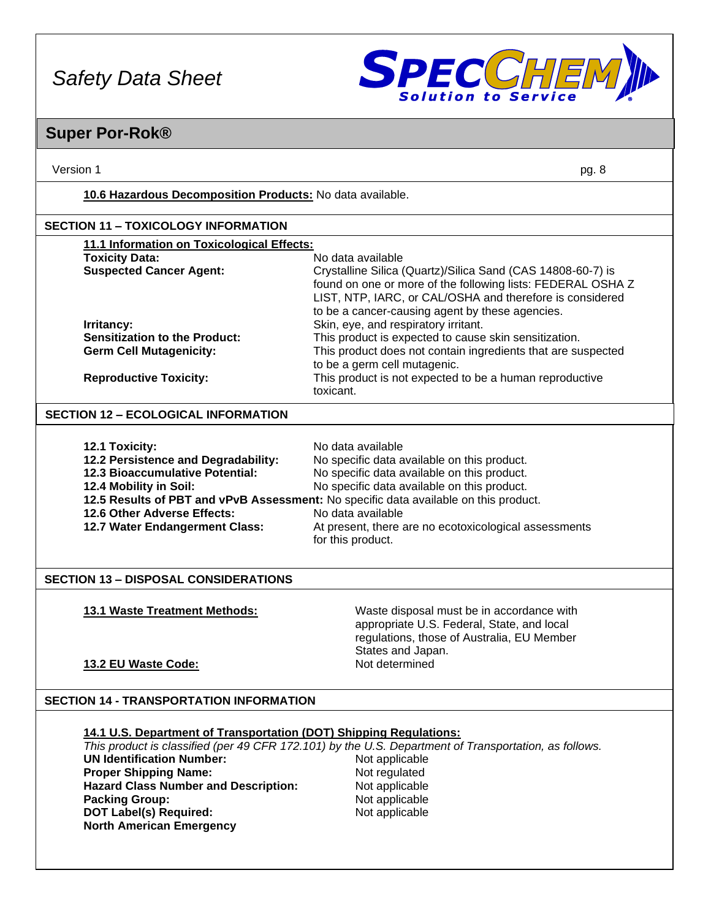

| Version 1                                                                                                                                                                                  | pg. 8                                                                                                                                                                                                                                                                                                                                                     |
|--------------------------------------------------------------------------------------------------------------------------------------------------------------------------------------------|-----------------------------------------------------------------------------------------------------------------------------------------------------------------------------------------------------------------------------------------------------------------------------------------------------------------------------------------------------------|
| 10.6 Hazardous Decomposition Products: No data available.                                                                                                                                  |                                                                                                                                                                                                                                                                                                                                                           |
| <b>SECTION 11 - TOXICOLOGY INFORMATION</b>                                                                                                                                                 |                                                                                                                                                                                                                                                                                                                                                           |
| 11.1 Information on Toxicological Effects:                                                                                                                                                 |                                                                                                                                                                                                                                                                                                                                                           |
| <b>Toxicity Data:</b><br><b>Suspected Cancer Agent:</b>                                                                                                                                    | No data available<br>Crystalline Silica (Quartz)/Silica Sand (CAS 14808-60-7) is<br>found on one or more of the following lists: FEDERAL OSHA Z<br>LIST, NTP, IARC, or CAL/OSHA and therefore is considered<br>to be a cancer-causing agent by these agencies.                                                                                            |
| Irritancy:<br><b>Sensitization to the Product:</b><br><b>Germ Cell Mutagenicity:</b>                                                                                                       | Skin, eye, and respiratory irritant.<br>This product is expected to cause skin sensitization.<br>This product does not contain ingredients that are suspected<br>to be a germ cell mutagenic.                                                                                                                                                             |
| <b>Reproductive Toxicity:</b>                                                                                                                                                              | This product is not expected to be a human reproductive<br>toxicant.                                                                                                                                                                                                                                                                                      |
| <b>SECTION 12 - ECOLOGICAL INFORMATION</b>                                                                                                                                                 |                                                                                                                                                                                                                                                                                                                                                           |
| 12.1 Toxicity:<br>12.2 Persistence and Degradability:<br><b>12.3 Bioaccumulative Potential:</b><br>12.4 Mobility in Soil:<br>12.6 Other Adverse Effects:<br>12.7 Water Endangerment Class: | No data available<br>No specific data available on this product.<br>No specific data available on this product.<br>No specific data available on this product.<br>12.5 Results of PBT and vPvB Assessment: No specific data available on this product.<br>No data available<br>At present, there are no ecotoxicological assessments<br>for this product. |
| <b>SECTION 13 - DISPOSAL CONSIDERATIONS</b>                                                                                                                                                |                                                                                                                                                                                                                                                                                                                                                           |
| 13.1 Waste Treatment Methods:                                                                                                                                                              | Waste disposal must be in accordance with<br>appropriate U.S. Federal, State, and local<br>regulations, those of Australia, EU Member<br>States and Japan.                                                                                                                                                                                                |
| 13.2 EU Waste Code:                                                                                                                                                                        | Not determined                                                                                                                                                                                                                                                                                                                                            |
| <b>SECTION 14 - TRANSPORTATION INFORMATION</b>                                                                                                                                             |                                                                                                                                                                                                                                                                                                                                                           |
| 14.1 U.S. Department of Transportation (DOT) Shipping Regulations:                                                                                                                         |                                                                                                                                                                                                                                                                                                                                                           |
| <b>UN Identification Number:</b><br><b>Proper Shipping Name:</b>                                                                                                                           | This product is classified (per 49 CFR 172.101) by the U.S. Department of Transportation, as follows.<br>Not applicable<br>Not regulated                                                                                                                                                                                                                  |
| <b>Hazard Class Number and Description:</b><br><b>Packing Group:</b><br><b>DOT Label(s) Required:</b><br><b>North American Emergency</b>                                                   | Not applicable<br>Not applicable<br>Not applicable                                                                                                                                                                                                                                                                                                        |
|                                                                                                                                                                                            |                                                                                                                                                                                                                                                                                                                                                           |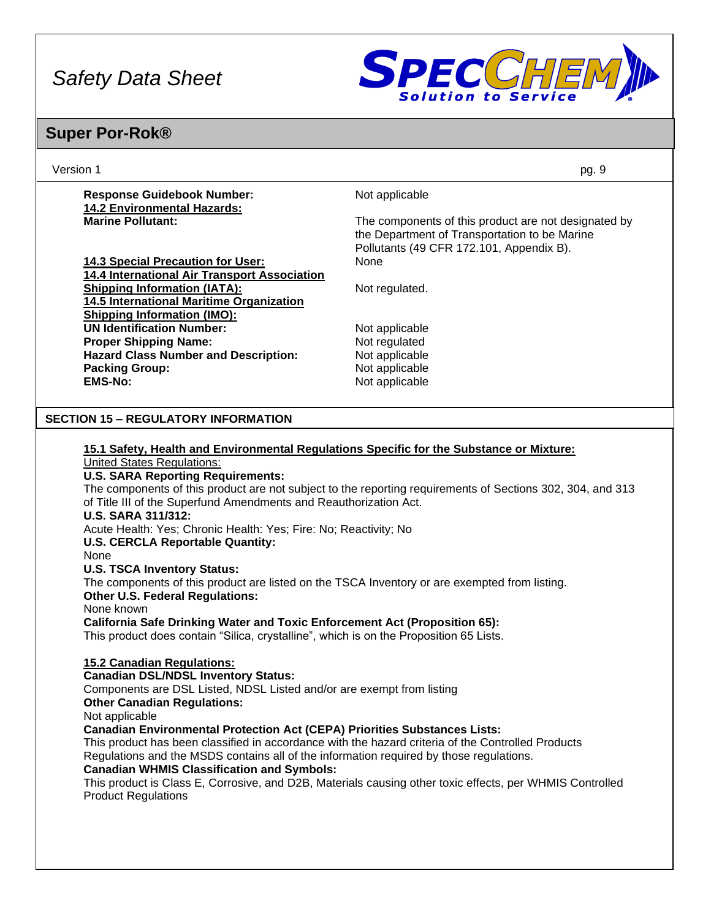

| Version 1                                                             |                                                                                               | pg. 9                                                                                                                                             |  |
|-----------------------------------------------------------------------|-----------------------------------------------------------------------------------------------|---------------------------------------------------------------------------------------------------------------------------------------------------|--|
| <b>Response Guidebook Number:</b>                                     |                                                                                               | Not applicable                                                                                                                                    |  |
| <b>14.2 Environmental Hazards:</b>                                    |                                                                                               |                                                                                                                                                   |  |
| <b>Marine Pollutant:</b>                                              |                                                                                               | The components of this product are not designated by<br>the Department of Transportation to be Marine<br>Pollutants (49 CFR 172.101, Appendix B). |  |
| <b>14.3 Special Precaution for User:</b>                              |                                                                                               | None                                                                                                                                              |  |
| 14.4 International Air Transport Association                          |                                                                                               |                                                                                                                                                   |  |
| <b>Shipping Information (IATA):</b>                                   |                                                                                               | Not regulated.                                                                                                                                    |  |
| 14.5 International Maritime Organization                              |                                                                                               |                                                                                                                                                   |  |
| <b>Shipping Information (IMO):</b>                                    |                                                                                               |                                                                                                                                                   |  |
| <b>UN Identification Number:</b>                                      |                                                                                               | Not applicable                                                                                                                                    |  |
| <b>Proper Shipping Name:</b>                                          |                                                                                               | Not regulated                                                                                                                                     |  |
| <b>Hazard Class Number and Description:</b>                           |                                                                                               | Not applicable                                                                                                                                    |  |
| <b>Packing Group:</b>                                                 |                                                                                               | Not applicable                                                                                                                                    |  |
| <b>EMS-No:</b>                                                        |                                                                                               | Not applicable                                                                                                                                    |  |
| <b>SECTION 15 - REGULATORY INFORMATION</b>                            |                                                                                               |                                                                                                                                                   |  |
|                                                                       |                                                                                               |                                                                                                                                                   |  |
|                                                                       |                                                                                               | 15.1 Safety, Health and Environmental Regulations Specific for the Substance or Mixture:                                                          |  |
| <b>United States Regulations:</b>                                     |                                                                                               |                                                                                                                                                   |  |
| <b>U.S. SARA Reporting Requirements:</b>                              |                                                                                               |                                                                                                                                                   |  |
|                                                                       |                                                                                               | The components of this product are not subject to the reporting requirements of Sections 302, 304, and 313                                        |  |
| of Title III of the Superfund Amendments and Reauthorization Act.     |                                                                                               |                                                                                                                                                   |  |
| <b>U.S. SARA 311/312:</b>                                             |                                                                                               |                                                                                                                                                   |  |
|                                                                       | Acute Health: Yes; Chronic Health: Yes; Fire: No; Reactivity; No                              |                                                                                                                                                   |  |
|                                                                       | <b>U.S. CERCLA Reportable Quantity:</b>                                                       |                                                                                                                                                   |  |
| None                                                                  |                                                                                               |                                                                                                                                                   |  |
|                                                                       | <b>U.S. TSCA Inventory Status:</b>                                                            |                                                                                                                                                   |  |
|                                                                       | The components of this product are listed on the TSCA Inventory or are exempted from listing. |                                                                                                                                                   |  |
| <b>Other U.S. Federal Regulations:</b>                                |                                                                                               |                                                                                                                                                   |  |
| None known                                                            |                                                                                               |                                                                                                                                                   |  |
|                                                                       |                                                                                               | <b>California Safe Drinking Water and Toxic Enforcement Act (Proposition 65):</b>                                                                 |  |
|                                                                       |                                                                                               | This product does contain "Silica, crystalline", which is on the Proposition 65 Lists.                                                            |  |
|                                                                       |                                                                                               |                                                                                                                                                   |  |
| 15.2 Canadian Regulations:                                            |                                                                                               |                                                                                                                                                   |  |
| <b>Canadian DSL/NDSL Inventory Status:</b>                            |                                                                                               |                                                                                                                                                   |  |
| Components are DSL Listed, NDSL Listed and/or are exempt from listing |                                                                                               |                                                                                                                                                   |  |
| <b>Other Canadian Regulations:</b>                                    |                                                                                               |                                                                                                                                                   |  |
| Not applicable                                                        |                                                                                               |                                                                                                                                                   |  |
|                                                                       |                                                                                               | <b>Canadian Environmental Protection Act (CEPA) Priorities Substances Lists:</b>                                                                  |  |
|                                                                       |                                                                                               | This product has been classified in accordance with the hazard criteria of the Controlled Products                                                |  |
|                                                                       |                                                                                               | Regulations and the MSDS contains all of the information required by those regulations.                                                           |  |
| <b>Canadian WHMIS Classification and Symbols:</b>                     |                                                                                               |                                                                                                                                                   |  |
|                                                                       |                                                                                               | This product is Class E, Corrosive, and D2B, Materials causing other toxic effects, per WHMIS Controlled                                          |  |
| <b>Product Regulations</b>                                            |                                                                                               |                                                                                                                                                   |  |
|                                                                       |                                                                                               |                                                                                                                                                   |  |
|                                                                       |                                                                                               |                                                                                                                                                   |  |
|                                                                       |                                                                                               |                                                                                                                                                   |  |
|                                                                       |                                                                                               |                                                                                                                                                   |  |